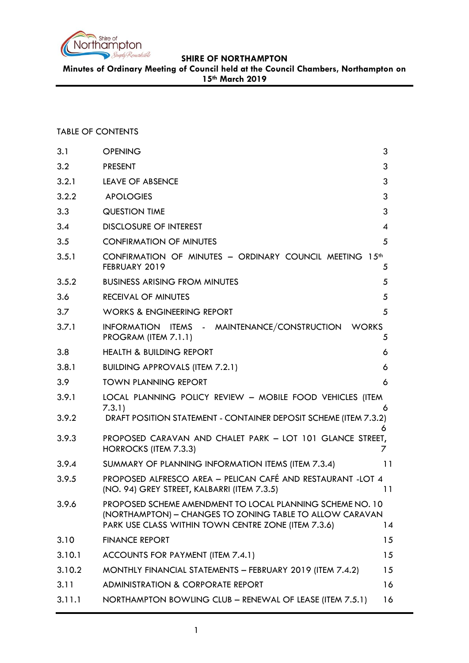

**Minutes of Ordinary Meeting of Council held at the Council Chambers, Northampton on 15th March 2019**

## TABLE OF CONTENTS

| 3.1    | <b>OPENING</b>                                                                                                                                                               | 3              |
|--------|------------------------------------------------------------------------------------------------------------------------------------------------------------------------------|----------------|
| 3.2    | <b>PRESENT</b>                                                                                                                                                               | 3              |
| 3.2.1  | <b>LEAVE OF ABSENCE</b>                                                                                                                                                      | 3              |
| 3.2.2  | <b>APOLOGIES</b>                                                                                                                                                             | 3              |
| 3.3    | <b>QUESTION TIME</b>                                                                                                                                                         | 3              |
| 3.4    | <b>DISCLOSURE OF INTEREST</b>                                                                                                                                                | $\overline{4}$ |
| 3.5    | <b>CONFIRMATION OF MINUTES</b>                                                                                                                                               | 5              |
| 3.5.1  | CONFIRMATION OF MINUTES - ORDINARY COUNCIL MEETING 15th<br>FEBRUARY 2019                                                                                                     | 5              |
| 3.5.2  | <b>BUSINESS ARISING FROM MINUTES</b>                                                                                                                                         | 5              |
| 3.6    | <b>RECEIVAL OF MINUTES</b>                                                                                                                                                   | 5              |
| 3.7    | <b>WORKS &amp; ENGINEERING REPORT</b>                                                                                                                                        | 5              |
| 3.7.1  | INFORMATION ITEMS - MAINTENANCE/CONSTRUCTION<br><b>WORKS</b><br>PROGRAM (ITEM 7.1.1)                                                                                         | 5              |
| 3.8    | <b>HEALTH &amp; BUILDING REPORT</b>                                                                                                                                          | 6              |
| 3.8.1  | <b>BUILDING APPROVALS (ITEM 7.2.1)</b>                                                                                                                                       | 6              |
| 3.9    | <b>TOWN PLANNING REPORT</b>                                                                                                                                                  | 6              |
| 3.9.1  | LOCAL PLANNING POLICY REVIEW - MOBILE FOOD VEHICLES (ITEM                                                                                                                    |                |
| 3.9.2  | 7.3.1)<br>DRAFT POSITION STATEMENT - CONTAINER DEPOSIT SCHEME (ITEM 7.3.2)                                                                                                   | 6<br>6         |
| 3.9.3  | PROPOSED CARAVAN AND CHALET PARK - LOT 101 GLANCE STREET,<br>HORROCKS (ITEM 7.3.3)                                                                                           | 7              |
| 3.9.4  | SUMMARY OF PLANNING INFORMATION ITEMS (ITEM 7.3.4)                                                                                                                           | 11             |
| 3.9.5  | PROPOSED ALFRESCO AREA - PELICAN CAFÉ AND RESTAURANT -LOT 4<br>(NO. 94) GREY STREET, KALBARRI (ITEM 7.3.5)                                                                   | 11             |
| 3.9.6  | PROPOSED SCHEME AMENDMENT TO LOCAL PLANNING SCHEME NO. 10<br>(NORTHAMPTON) - CHANGES TO ZONING TABLE TO ALLOW CARAVAN<br>PARK USE CLASS WITHIN TOWN CENTRE ZONE (ITEM 7.3.6) | 14             |
| 3.10   | <b>FINANCE REPORT</b>                                                                                                                                                        | 15             |
| 3.10.1 | ACCOUNTS FOR PAYMENT (ITEM 7.4.1)                                                                                                                                            | 15             |
| 3.10.2 | MONTHLY FINANCIAL STATEMENTS - FEBRUARY 2019 (ITEM 7.4.2)                                                                                                                    | 15             |
| 3.11   | <b>ADMINISTRATION &amp; CORPORATE REPORT</b>                                                                                                                                 | 16             |
| 3.11.1 | NORTHAMPTON BOWLING CLUB - RENEWAL OF LEASE (ITEM 7.5.1)                                                                                                                     | 16             |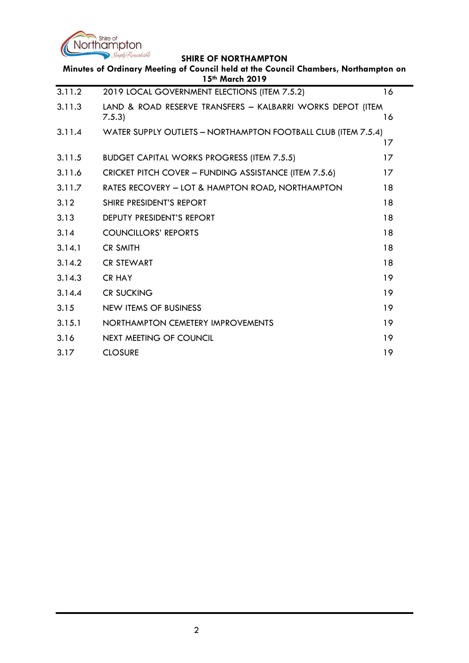

÷.

|        | Minutes of Ordinary Meeting of Council held at the Council Chambers, Northampton on<br>15th March 2019 |    |
|--------|--------------------------------------------------------------------------------------------------------|----|
| 3.11.2 | 2019 LOCAL GOVERNMENT ELECTIONS (ITEM 7.5.2)                                                           | 16 |
| 3.11.3 | LAND & ROAD RESERVE TRANSFERS - KALBARRI WORKS DEPOT (ITEM<br>7.5.3                                    | 16 |
| 3.11.4 | WATER SUPPLY OUTLETS - NORTHAMPTON FOOTBALL CLUB (ITEM 7.5.4)                                          | 17 |
| 3.11.5 | <b>BUDGET CAPITAL WORKS PROGRESS (ITEM 7.5.5)</b>                                                      | 17 |
| 3.11.6 | CRICKET PITCH COVER - FUNDING ASSISTANCE (ITEM 7.5.6)                                                  | 17 |
| 3.11.7 | RATES RECOVERY - LOT & HAMPTON ROAD, NORTHAMPTON                                                       | 18 |
| 3.12   | SHIRE PRESIDENT'S REPORT                                                                               | 18 |
| 3.13   | DEPUTY PRESIDENT'S REPORT                                                                              | 18 |
| 3.14   | <b>COUNCILLORS' REPORTS</b>                                                                            | 18 |
| 3.14.1 | <b>CR SMITH</b>                                                                                        | 18 |
| 3.14.2 | <b>CR STEWART</b>                                                                                      | 18 |
| 3.14.3 | <b>CR HAY</b>                                                                                          | 19 |
| 3.14.4 | <b>CR SUCKING</b>                                                                                      | 19 |
| 3.15   | <b>NEW ITEMS OF BUSINESS</b>                                                                           | 19 |
| 3.15.1 | NORTHAMPTON CEMETERY IMPROVEMENTS                                                                      | 19 |
| 3.16   | <b>NEXT MEETING OF COUNCIL</b>                                                                         | 19 |
| 3.17   | <b>CLOSURE</b>                                                                                         | 19 |
|        |                                                                                                        |    |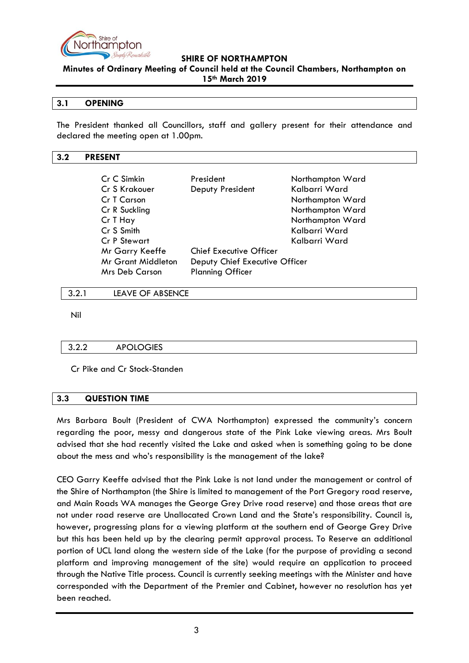

**Minutes of Ordinary Meeting of Council held at the Council Chambers, Northampton on 15th March 2019**

### <span id="page-2-0"></span>**3.1 OPENING**

The President thanked all Councillors, staff and gallery present for their attendance and declared the meeting open at 1.00pm.

#### <span id="page-2-1"></span>**3.2 PRESENT**

| Cr C Simkin               | President                      | Northampton Ward |
|---------------------------|--------------------------------|------------------|
| Cr S Krakouer             | Deputy President               | Kalbarri Ward    |
| Cr T Carson               |                                | Northampton Ward |
| Cr R Suckling             |                                | Northampton Ward |
| Cr T Hay                  |                                | Northampton Ward |
| Cr S Smith                |                                | Kalbarri Ward    |
| Cr P Stewart              |                                | Kalbarri Ward    |
| Mr Garry Keeffe           | <b>Chief Executive Officer</b> |                  |
| <b>Mr Grant Middleton</b> | Deputy Chief Executive Officer |                  |
| Mrs Deb Carson            | <b>Planning Officer</b>        |                  |

#### <span id="page-2-2"></span>3.2.1 LEAVE OF ABSENCE

Nil

#### <span id="page-2-3"></span>3.2.2 APOLOGIES

Cr Pike and Cr Stock-Standen

## <span id="page-2-4"></span>**3.3 QUESTION TIME**

Mrs Barbara Boult (President of CWA Northampton) expressed the community's concern regarding the poor, messy and dangerous state of the Pink Lake viewing areas. Mrs Boult advised that she had recently visited the Lake and asked when is something going to be done about the mess and who's responsibility is the management of the lake?

CEO Garry Keeffe advised that the Pink Lake is not land under the management or control of the Shire of Northampton (the Shire is limited to management of the Port Gregory road reserve, and Main Roads WA manages the George Grey Drive road reserve) and those areas that are not under road reserve are Unallocated Crown Land and the State's responsibility. Council is, however, progressing plans for a viewing platform at the southern end of George Grey Drive but this has been held up by the clearing permit approval process. To Reserve an additional portion of UCL land along the western side of the Lake (for the purpose of providing a second platform and improving management of the site) would require an application to proceed through the Native Title process. Council is currently seeking meetings with the Minister and have corresponded with the Department of the Premier and Cabinet, however no resolution has yet been reached.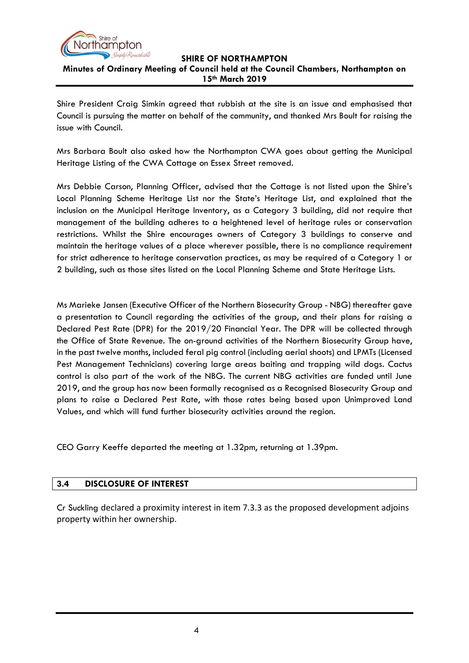

**Minutes of Ordinary Meeting of Council held at the Council Chambers, Northampton on 15th March 2019**

Shire President Craig Simkin agreed that rubbish at the site is an issue and emphasised that Council is pursuing the matter on behalf of the community, and thanked Mrs Boult for raising the issue with Council.

Mrs Barbara Boult also asked how the Northampton CWA goes about getting the Municipal Heritage Listing of the CWA Cottage on Essex Street removed.

Mrs Debbie Carson, Planning Officer, advised that the Cottage is not listed upon the Shire's Local Planning Scheme Heritage List nor the State's Heritage List, and explained that the inclusion on the Municipal Heritage Inventory, as a Category 3 building, did not require that management of the building adheres to a heightened level of heritage rules or conservation restrictions. Whilst the Shire encourages owners of Category 3 buildings to conserve and maintain the heritage values of a place wherever possible, there is no compliance requirement for strict adherence to heritage conservation practices, as may be required of a Category 1 or 2 building, such as those sites listed on the Local Planning Scheme and State Heritage Lists.

Ms Marieke Jansen (Executive Officer of the Northern Biosecurity Group - NBG) thereafter gave a presentation to Council regarding the activities of the group, and their plans for raising a Declared Pest Rate (DPR) for the 2019/20 Financial Year. The DPR will be collected through the Office of State Revenue. The on-ground activities of the Northern Biosecurity Group have, in the past twelve months, included feral pig control (including aerial shoots) and LPMTs (Licensed Pest Management Technicians) covering large areas baiting and trapping wild dogs. Cactus control is also part of the work of the NBG. The current NBG activities are funded until June 2019, and the group has now been formally recognised as a Recognised Biosecurity Group and plans to raise a Declared Pest Rate, with those rates being based upon Unimproved Land Values, and which will fund further biosecurity activities around the region.

CEO Garry Keeffe departed the meeting at 1.32pm, returning at 1.39pm.

## <span id="page-3-0"></span>**3.4 DISCLOSURE OF INTEREST**

Cr Suckling declared a proximity interest in item 7.3.3 as the proposed development adjoins property within her ownership.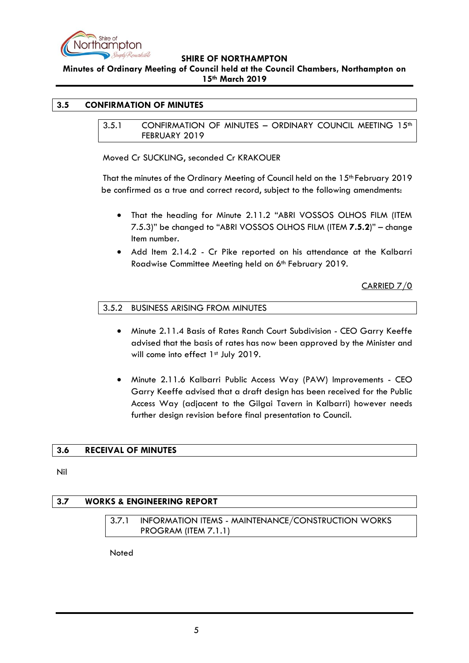

**Minutes of Ordinary Meeting of Council held at the Council Chambers, Northampton on 15th March 2019**

#### <span id="page-4-1"></span><span id="page-4-0"></span>**3.5 CONFIRMATION OF MINUTES**

3.5.1 CONFIRMATION OF MINUTES - ORDINARY COUNCIL MEETING 15<sup>th</sup> FEBRUARY 2019

Moved Cr SUCKLING, seconded Cr KRAKOUER

That the minutes of the Ordinary Meeting of Council held on the 15th February 2019 be confirmed as a true and correct record, subject to the following amendments:

- That the heading for Minute 2.11.2 "ABRI VOSSOS OLHOS FILM (ITEM 7.5.3)" be changed to "ABRI VOSSOS OLHOS FILM (ITEM **7.5.2**)" – change Item number.
- Add Item 2.14.2 Cr Pike reported on his attendance at the Kalbarri Roadwise Committee Meeting held on 6<sup>th</sup> February 2019.

CARRIED 7/0

### <span id="page-4-2"></span>3.5.2 BUSINESS ARISING FROM MINUTES

- Minute 2.11.4 Basis of Rates Ranch Court Subdivision CEO Garry Keeffe advised that the basis of rates has now been approved by the Minister and will come into effect 1st July 2019.
- Minute 2.11.6 Kalbarri Public Access Way (PAW) Improvements CEO Garry Keeffe advised that a draft design has been received for the Public Access Way (adjacent to the Gilgai Tavern in Kalbarri) however needs further design revision before final presentation to Council.

#### <span id="page-4-3"></span>**3.6 RECEIVAL OF MINUTES**

Nil

## <span id="page-4-5"></span><span id="page-4-4"></span>**3.7 WORKS & ENGINEERING REPORT**

3.7.1 INFORMATION ITEMS - MAINTENANCE/CONSTRUCTION WORKS PROGRAM (ITEM 7.1.1)

Noted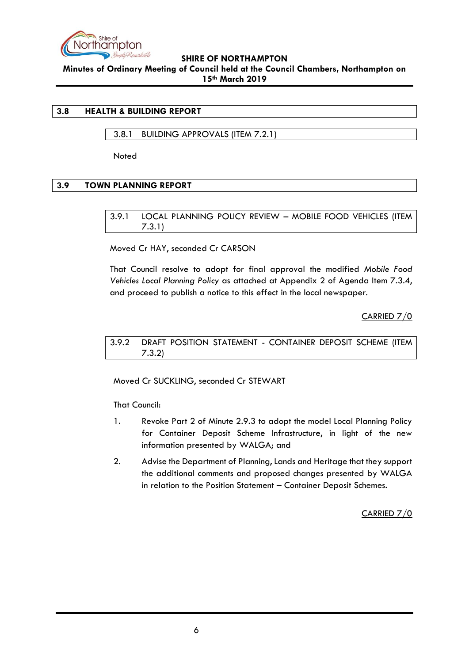

**Minutes of Ordinary Meeting of Council held at the Council Chambers, Northampton on 15th March 2019**

## <span id="page-5-0"></span>**3.8 HEALTH & BUILDING REPORT**

## <span id="page-5-1"></span>3.8.1 BUILDING APPROVALS (ITEM 7.2.1)

Noted

## <span id="page-5-3"></span><span id="page-5-2"></span>**3.9 TOWN PLANNING REPORT**

3.9.1 LOCAL PLANNING POLICY REVIEW – MOBILE FOOD VEHICLES (ITEM 7.3.1)

Moved Cr HAY, seconded Cr CARSON

That Council resolve to adopt for final approval the modified *Mobile Food Vehicles Local Planning Policy* as attached at Appendix 2 of Agenda Item 7.3.4, and proceed to publish a notice to this effect in the local newspaper.

CARRIED 7/0

<span id="page-5-4"></span>3.9.2 DRAFT POSITION STATEMENT - CONTAINER DEPOSIT SCHEME (ITEM 7.3.2)

Moved Cr SUCKLING, seconded Cr STEWART

That Council:

- 1. Revoke Part 2 of Minute 2.9.3 to adopt the model Local Planning Policy for Container Deposit Scheme Infrastructure, in light of the new information presented by WALGA; and
- 2. Advise the Department of Planning, Lands and Heritage that they support the additional comments and proposed changes presented by WALGA in relation to the Position Statement – Container Deposit Schemes.

CARRIED 7/0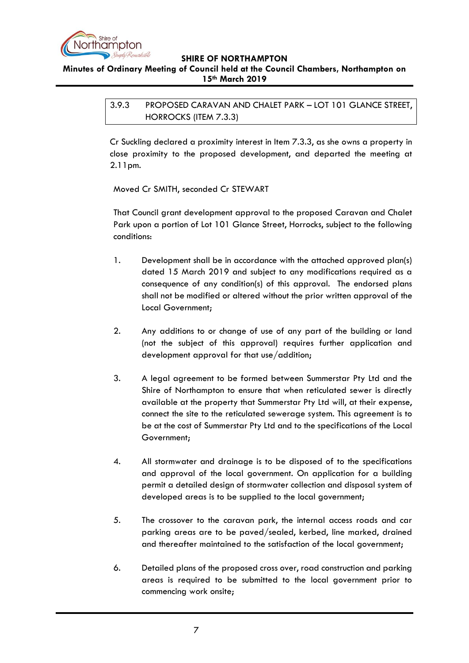

<span id="page-6-0"></span>**Minutes of Ordinary Meeting of Council held at the Council Chambers, Northampton on 15th March 2019**

> 3.9.3 PROPOSED CARAVAN AND CHALET PARK – LOT 101 GLANCE STREET, HORROCKS (ITEM 7.3.3)

> Cr Suckling declared a proximity interest in Item 7.3.3, as she owns a property in close proximity to the proposed development, and departed the meeting at 2.11pm.

Moved Cr SMITH, seconded Cr STEWART

That Council grant development approval to the proposed Caravan and Chalet Park upon a portion of Lot 101 Glance Street, Horrocks, subject to the following conditions:

- 1. Development shall be in accordance with the attached approved plan(s) dated 15 March 2019 and subject to any modifications required as a consequence of any condition(s) of this approval. The endorsed plans shall not be modified or altered without the prior written approval of the Local Government;
- 2. Any additions to or change of use of any part of the building or land (not the subject of this approval) requires further application and development approval for that use/addition;
- 3. A legal agreement to be formed between Summerstar Pty Ltd and the Shire of Northampton to ensure that when reticulated sewer is directly available at the property that Summerstar Pty Ltd will, at their expense, connect the site to the reticulated sewerage system. This agreement is to be at the cost of Summerstar Pty Ltd and to the specifications of the Local Government;
- 4. All stormwater and drainage is to be disposed of to the specifications and approval of the local government. On application for a building permit a detailed design of stormwater collection and disposal system of developed areas is to be supplied to the local government;
- 5. The crossover to the caravan park, the internal access roads and car parking areas are to be paved/sealed, kerbed, line marked, drained and thereafter maintained to the satisfaction of the local government;
- 6. Detailed plans of the proposed cross over, road construction and parking areas is required to be submitted to the local government prior to commencing work onsite;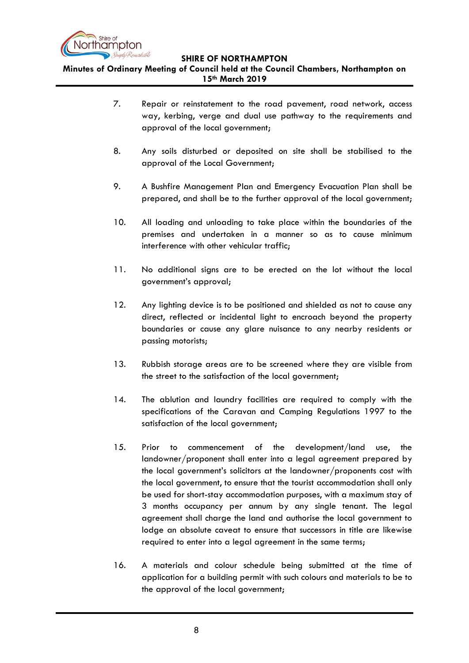

**Minutes of Ordinary Meeting of Council held at the Council Chambers, Northampton on 15th March 2019**

- 7. Repair or reinstatement to the road pavement, road network, access way, kerbing, verge and dual use pathway to the requirements and approval of the local government;
- 8. Any soils disturbed or deposited on site shall be stabilised to the approval of the Local Government;
- 9. A Bushfire Management Plan and Emergency Evacuation Plan shall be prepared, and shall be to the further approval of the local government;
- 10. All loading and unloading to take place within the boundaries of the premises and undertaken in a manner so as to cause minimum interference with other vehicular traffic;
- 11. No additional signs are to be erected on the lot without the local government's approval;
- 12. Any lighting device is to be positioned and shielded as not to cause any direct, reflected or incidental light to encroach beyond the property boundaries or cause any glare nuisance to any nearby residents or passing motorists;
- 13. Rubbish storage areas are to be screened where they are visible from the street to the satisfaction of the local government;
- 14. The ablution and laundry facilities are required to comply with the specifications of the Caravan and Camping Regulations 1997 to the satisfaction of the local government;
- 15. Prior to commencement of the development/land use, the landowner/proponent shall enter into a legal agreement prepared by the local government's solicitors at the landowner/proponents cost with the local government, to ensure that the tourist accommodation shall only be used for short-stay accommodation purposes, with a maximum stay of 3 months occupancy per annum by any single tenant. The legal agreement shall charge the land and authorise the local government to lodge an absolute caveat to ensure that successors in title are likewise required to enter into a legal agreement in the same terms;
- 16. A materials and colour schedule being submitted at the time of application for a building permit with such colours and materials to be to the approval of the local government;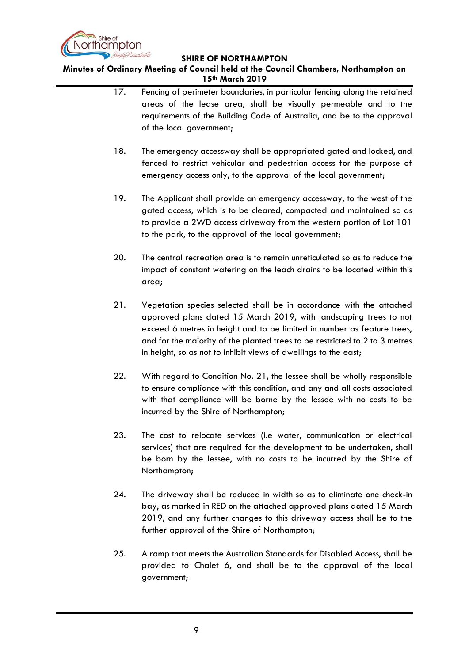

**Minutes of Ordinary Meeting of Council held at the Council Chambers, Northampton on 15th March 2019**

- 17. Fencing of perimeter boundaries, in particular fencing along the retained areas of the lease area, shall be visually permeable and to the requirements of the Building Code of Australia, and be to the approval of the local government;
- 18. The emergency accessway shall be appropriated gated and locked, and fenced to restrict vehicular and pedestrian access for the purpose of emergency access only, to the approval of the local government;
- 19. The Applicant shall provide an emergency accessway, to the west of the gated access, which is to be cleared, compacted and maintained so as to provide a 2WD access driveway from the western portion of Lot 101 to the park, to the approval of the local government;
- 20. The central recreation area is to remain unreticulated so as to reduce the impact of constant watering on the leach drains to be located within this area;
- 21. Vegetation species selected shall be in accordance with the attached approved plans dated 15 March 2019, with landscaping trees to not exceed 6 metres in height and to be limited in number as feature trees, and for the majority of the planted trees to be restricted to 2 to 3 metres in height, so as not to inhibit views of dwellings to the east;
- 22. With regard to Condition No. 21, the lessee shall be wholly responsible to ensure compliance with this condition, and any and all costs associated with that compliance will be borne by the lessee with no costs to be incurred by the Shire of Northampton;
- 23. The cost to relocate services (i.e water, communication or electrical services) that are required for the development to be undertaken, shall be born by the lessee, with no costs to be incurred by the Shire of Northampton;
- 24. The driveway shall be reduced in width so as to eliminate one check-in bay, as marked in RED on the attached approved plans dated 15 March 2019, and any further changes to this driveway access shall be to the further approval of the Shire of Northampton;
- 25. A ramp that meets the Australian Standards for Disabled Access, shall be provided to Chalet 6, and shall be to the approval of the local government;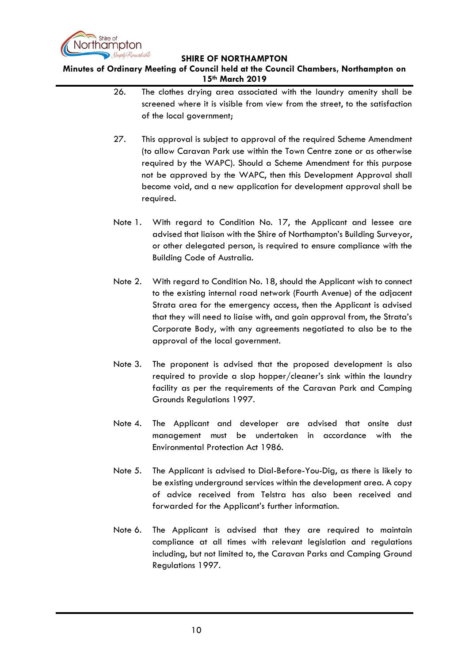

**Minutes of Ordinary Meeting of Council held at the Council Chambers, Northampton on 15th March 2019**

- 26. The clothes drying area associated with the laundry amenity shall be screened where it is visible from view from the street, to the satisfaction of the local government;
- 27. This approval is subject to approval of the required Scheme Amendment (to allow Caravan Park use within the Town Centre zone or as otherwise required by the WAPC). Should a Scheme Amendment for this purpose not be approved by the WAPC, then this Development Approval shall become void, and a new application for development approval shall be required.
- Note 1. With regard to Condition No. 17, the Applicant and lessee are advised that liaison with the Shire of Northampton's Building Surveyor, or other delegated person, is required to ensure compliance with the Building Code of Australia.
- Note 2. With regard to Condition No. 18, should the Applicant wish to connect to the existing internal road network (Fourth Avenue) of the adjacent Strata area for the emergency access, then the Applicant is advised that they will need to liaise with, and gain approval from, the Strata's Corporate Body, with any agreements negotiated to also be to the approval of the local government.
- Note 3. The proponent is advised that the proposed development is also required to provide a slop hopper/cleaner's sink within the laundry facility as per the requirements of the Caravan Park and Camping Grounds Regulations 1997.
- Note 4. The Applicant and developer are advised that onsite dust management must be undertaken in accordance with the Environmental Protection Act 1986.
- Note 5. The Applicant is advised to Dial-Before-You-Dig, as there is likely to be existing underground services within the development area. A copy of advice received from Telstra has also been received and forwarded for the Applicant's further information.
- Note 6. The Applicant is advised that they are required to maintain compliance at all times with relevant legislation and regulations including, but not limited to, the Caravan Parks and Camping Ground Regulations 1997.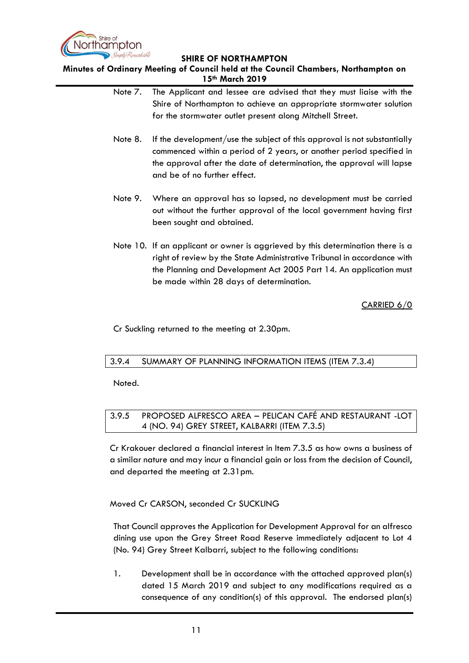

**Minutes of Ordinary Meeting of Council held at the Council Chambers, Northampton on 15th March 2019**

- Note 7. The Applicant and lessee are advised that they must liaise with the Shire of Northampton to achieve an appropriate stormwater solution for the stormwater outlet present along Mitchell Street.
- Note 8. If the development/use the subject of this approval is not substantially commenced within a period of 2 years, or another period specified in the approval after the date of determination, the approval will lapse and be of no further effect.
- Note 9. Where an approval has so lapsed, no development must be carried out without the further approval of the local government having first been sought and obtained.
- Note 10. If an applicant or owner is aggrieved by this determination there is a right of review by the State Administrative Tribunal in accordance with the Planning and Development Act 2005 Part 14. An application must be made within 28 days of determination.

CARRIED 6/0

Cr Suckling returned to the meeting at 2.30pm.

## <span id="page-10-0"></span>3.9.4 SUMMARY OF PLANNING INFORMATION ITEMS (ITEM 7.3.4)

Noted.

# <span id="page-10-1"></span>3.9.5 PROPOSED ALFRESCO AREA – PELICAN CAFÉ AND RESTAURANT -LOT 4 (NO. 94) GREY STREET, KALBARRI (ITEM 7.3.5)

Cr Krakouer declared a financial interest in Item 7.3.5 as how owns a business of a similar nature and may incur a financial gain or loss from the decision of Council, and departed the meeting at 2.31pm.

## Moved Cr CARSON, seconded Cr SUCKLING

That Council approves the Application for Development Approval for an alfresco dining use upon the Grey Street Road Reserve immediately adjacent to Lot 4 (No. 94) Grey Street Kalbarri, subject to the following conditions:

1. Development shall be in accordance with the attached approved plan(s) dated 15 March 2019 and subject to any modifications required as a consequence of any condition(s) of this approval. The endorsed plan(s)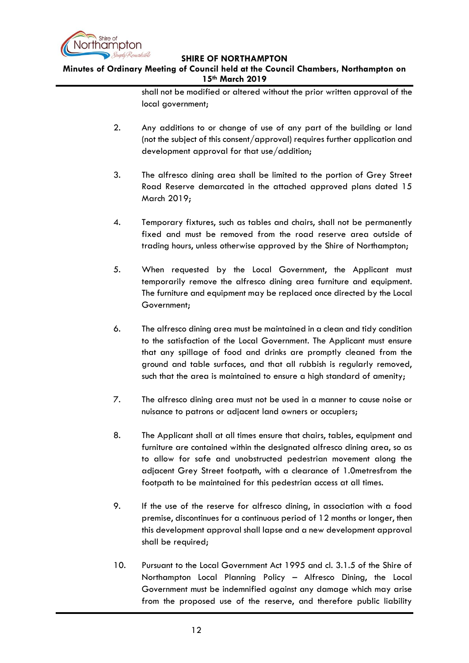

# **Minutes of Ordinary Meeting of Council held at the Council Chambers, Northampton on 15th March 2019**

shall not be modified or altered without the prior written approval of the local government;

- 2. Any additions to or change of use of any part of the building or land (not the subject of this consent/approval) requires further application and development approval for that use/addition;
- 3. The alfresco dining area shall be limited to the portion of Grey Street Road Reserve demarcated in the attached approved plans dated 15 March 2019;
- 4. Temporary fixtures, such as tables and chairs, shall not be permanently fixed and must be removed from the road reserve area outside of trading hours, unless otherwise approved by the Shire of Northampton;
- 5. When requested by the Local Government, the Applicant must temporarily remove the alfresco dining area furniture and equipment. The furniture and equipment may be replaced once directed by the Local Government;
- 6. The alfresco dining area must be maintained in a clean and tidy condition to the satisfaction of the Local Government. The Applicant must ensure that any spillage of food and drinks are promptly cleaned from the ground and table surfaces, and that all rubbish is regularly removed, such that the area is maintained to ensure a high standard of amenity;
- 7. The alfresco dining area must not be used in a manner to cause noise or nuisance to patrons or adjacent land owners or occupiers;
- 8. The Applicant shall at all times ensure that chairs, tables, equipment and furniture are contained within the designated alfresco dining area, so as to allow for safe and unobstructed pedestrian movement along the adjacent Grey Street footpath, with a clearance of 1.0metresfrom the footpath to be maintained for this pedestrian access at all times.
- 9. If the use of the reserve for alfresco dining, in association with a food premise, discontinues for a continuous period of 12 months or longer, then this development approval shall lapse and a new development approval shall be required;
- 10. Pursuant to the Local Government Act 1995 and cl. 3.1.5 of the Shire of Northampton Local Planning Policy – Alfresco Dining, the Local Government must be indemnified against any damage which may arise from the proposed use of the reserve, and therefore public liability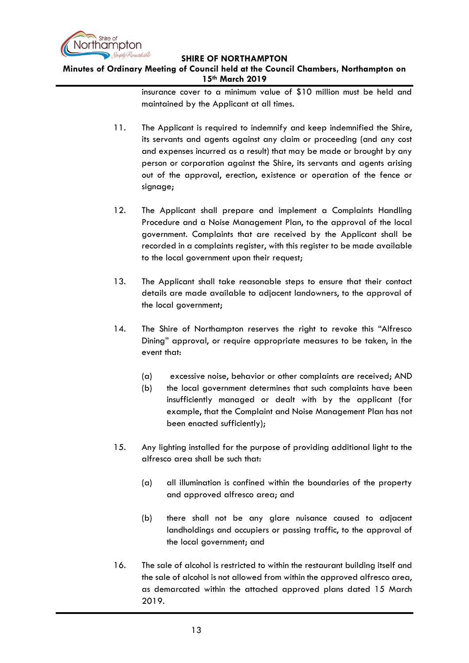

# **Minutes of Ordinary Meeting of Council held at the Council Chambers, Northampton on 15th March 2019**

insurance cover to a minimum value of \$10 million must be held and maintained by the Applicant at all times.

- 11. The Applicant is required to indemnify and keep indemnified the Shire, its servants and agents against any claim or proceeding (and any cost and expenses incurred as a result) that may be made or brought by any person or corporation against the Shire, its servants and agents arising out of the approval, erection, existence or operation of the fence or signage;
- 12. The Applicant shall prepare and implement a Complaints Handling Procedure and a Noise Management Plan, to the approval of the local government. Complaints that are received by the Applicant shall be recorded in a complaints register, with this register to be made available to the local government upon their request;
- 13. The Applicant shall take reasonable steps to ensure that their contact details are made available to adjacent landowners, to the approval of the local government;
- 14. The Shire of Northampton reserves the right to revoke this "Alfresco Dining" approval, or require appropriate measures to be taken, in the event that:
	- (a) excessive noise, behavior or other complaints are received; AND
	- (b) the local government determines that such complaints have been insufficiently managed or dealt with by the applicant (for example, that the Complaint and Noise Management Plan has not been enacted sufficiently);
- 15. Any lighting installed for the purpose of providing additional light to the alfresco area shall be such that:
	- (a) all illumination is confined within the boundaries of the property and approved alfresco area; and
	- (b) there shall not be any glare nuisance caused to adjacent landholdings and occupiers or passing traffic, to the approval of the local government; and
- 16. The sale of alcohol is restricted to within the restaurant building itself and the sale of alcohol is not allowed from within the approved alfresco area, as demarcated within the attached approved plans dated 15 March 2019.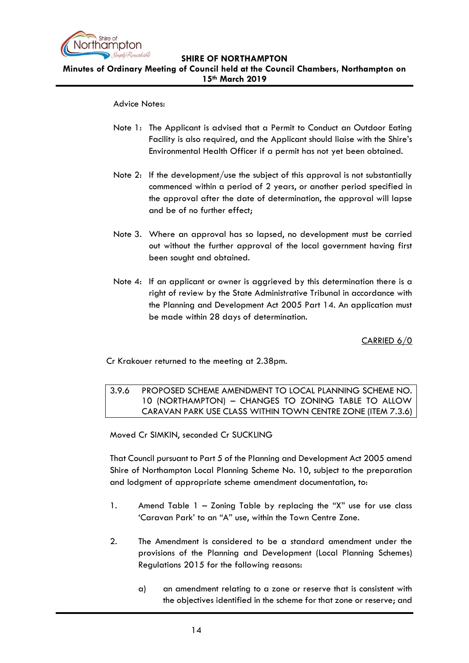

**Minutes of Ordinary Meeting of Council held at the Council Chambers, Northampton on 15th March 2019**

#### Advice Notes:

- Note 1: The Applicant is advised that a Permit to Conduct an Outdoor Eating Facility is also required, and the Applicant should liaise with the Shire's Environmental Health Officer if a permit has not yet been obtained.
- Note 2: If the development/use the subject of this approval is not substantially commenced within a period of 2 years, or another period specified in the approval after the date of determination, the approval will lapse and be of no further effect;
- Note 3. Where an approval has so lapsed, no development must be carried out without the further approval of the local government having first been sought and obtained.
- Note 4: If an applicant or owner is aggrieved by this determination there is a right of review by the State Administrative Tribunal in accordance with the Planning and Development Act 2005 Part 14. An application must be made within 28 days of determination.

CARRIED 6/0

<span id="page-13-0"></span>Cr Krakouer returned to the meeting at 2.38pm.

3.9.6 PROPOSED SCHEME AMENDMENT TO LOCAL PLANNING SCHEME NO. 10 (NORTHAMPTON) – CHANGES TO ZONING TABLE TO ALLOW CARAVAN PARK USE CLASS WITHIN TOWN CENTRE ZONE (ITEM 7.3.6)

Moved Cr SIMKIN, seconded Cr SUCKLING

That Council pursuant to Part 5 of the Planning and Development Act 2005 amend Shire of Northampton Local Planning Scheme No. 10, subject to the preparation and lodgment of appropriate scheme amendment documentation, to:

- 1. Amend Table 1 Zoning Table by replacing the "X" use for use class 'Caravan Park' to an "A" use, within the Town Centre Zone.
- 2. The Amendment is considered to be a standard amendment under the provisions of the Planning and Development (Local Planning Schemes) Regulations 2015 for the following reasons:
	- a) an amendment relating to a zone or reserve that is consistent with the objectives identified in the scheme for that zone or reserve; and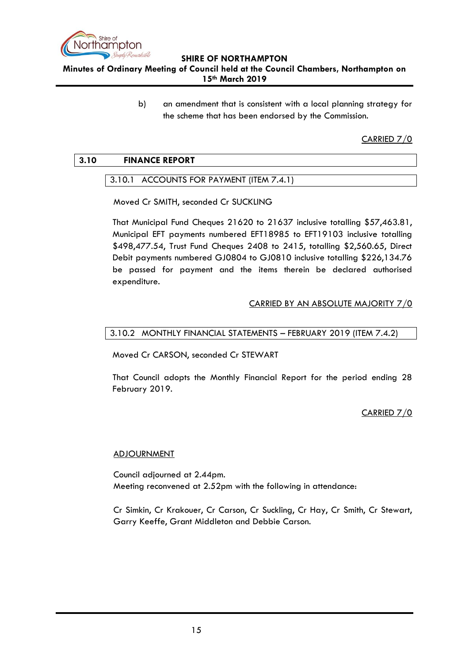

**Minutes of Ordinary Meeting of Council held at the Council Chambers, Northampton on 15th March 2019**

> b) an amendment that is consistent with a local planning strategy for the scheme that has been endorsed by the Commission.

> > CARRIED 7/0

## <span id="page-14-1"></span><span id="page-14-0"></span>**3.10 FINANCE REPORT**

### 3.10.1 ACCOUNTS FOR PAYMENT (ITEM 7.4.1)

Moved Cr SMITH, seconded Cr SUCKLING

That Municipal Fund Cheques 21620 to 21637 inclusive totalling \$57,463.81, Municipal EFT payments numbered EFT18985 to EFT19103 inclusive totalling \$498,477.54, Trust Fund Cheques 2408 to 2415, totalling \$2,560.65, Direct Debit payments numbered GJ0804 to GJ0810 inclusive totalling \$226,134.76 be passed for payment and the items therein be declared authorised expenditure.

### CARRIED BY AN ABSOLUTE MAJORITY 7/0

### <span id="page-14-2"></span>3.10.2 MONTHLY FINANCIAL STATEMENTS – FEBRUARY 2019 (ITEM 7.4.2)

Moved Cr CARSON, seconded Cr STEWART

That Council adopts the Monthly Financial Report for the period ending 28 February 2019.

CARRIED 7/0

#### **ADJOURNMENT**

Council adjourned at 2.44pm. Meeting reconvened at 2.52pm with the following in attendance:

Cr Simkin, Cr Krakouer, Cr Carson, Cr Suckling, Cr Hay, Cr Smith, Cr Stewart, Garry Keeffe, Grant Middleton and Debbie Carson.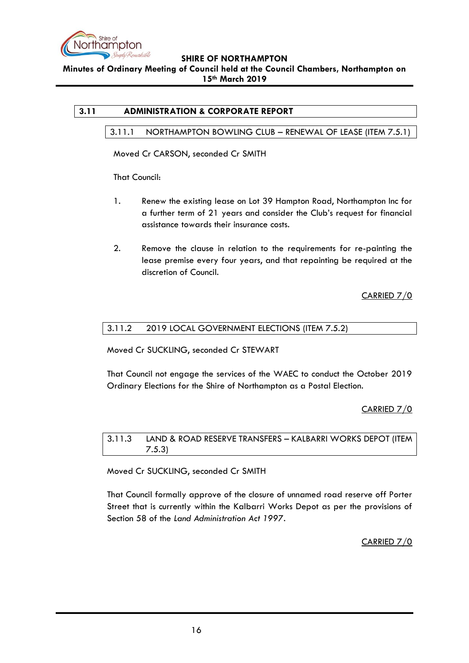

**Minutes of Ordinary Meeting of Council held at the Council Chambers, Northampton on 15th March 2019**

# <span id="page-15-1"></span><span id="page-15-0"></span>**3.11 ADMINISTRATION & CORPORATE REPORT**

### 3.11.1 NORTHAMPTON BOWLING CLUB – RENEWAL OF LEASE (ITEM 7.5.1)

Moved Cr CARSON, seconded Cr SMITH

That Council:

- 1. Renew the existing lease on Lot 39 Hampton Road, Northampton Inc for a further term of 21 years and consider the Club's request for financial assistance towards their insurance costs.
- 2. Remove the clause in relation to the requirements for re-painting the lease premise every four years, and that repainting be required at the discretion of Council.

CARRIED 7/0

### <span id="page-15-2"></span>3.11.2 2019 LOCAL GOVERNMENT ELECTIONS (ITEM 7.5.2)

Moved Cr SUCKLING, seconded Cr STEWART

That Council not engage the services of the WAEC to conduct the October 2019 Ordinary Elections for the Shire of Northampton as a Postal Election.

CARRIED 7/0

<span id="page-15-3"></span>3.11.3 LAND & ROAD RESERVE TRANSFERS – KALBARRI WORKS DEPOT (ITEM 7.5.3)

Moved Cr SUCKLING, seconded Cr SMITH

That Council formally approve of the closure of unnamed road reserve off Porter Street that is currently within the Kalbarri Works Depot as per the provisions of Section 58 of the *Land Administration Act 1997*.

CARRIED 7/0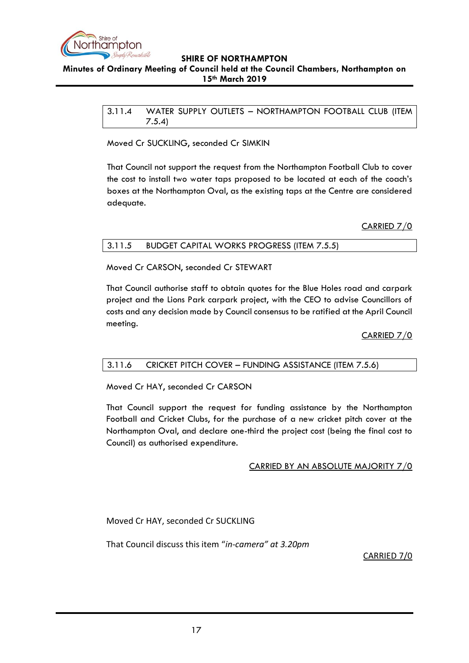

#### <span id="page-16-0"></span>**Minutes of Ordinary Meeting of Council held at the Council Chambers, Northampton on 15th March 2019**

3.11.4 WATER SUPPLY OUTLETS – NORTHAMPTON FOOTBALL CLUB (ITEM 7.5.4)

Moved Cr SUCKLING, seconded Cr SIMKIN

That Council not support the request from the Northampton Football Club to cover the cost to install two water taps proposed to be located at each of the coach's boxes at the Northampton Oval, as the existing taps at the Centre are considered adequate.

CARRIED 7/0

<span id="page-16-1"></span>

| <b>BUDGET CAPITAL WORKS PROGRESS (ITEM 7.5.5)</b><br>3.11.5 |
|-------------------------------------------------------------|
|-------------------------------------------------------------|

Moved Cr CARSON, seconded Cr STEWART

That Council authorise staff to obtain quotes for the Blue Holes road and carpark project and the Lions Park carpark project, with the CEO to advise Councillors of costs and any decision made by Council consensus to be ratified at the April Council meeting.

CARRIED 7/0

## <span id="page-16-2"></span>3.11.6 CRICKET PITCH COVER – FUNDING ASSISTANCE (ITEM 7.5.6)

Moved Cr HAY, seconded Cr CARSON

That Council support the request for funding assistance by the Northampton Football and Cricket Clubs, for the purchase of a new cricket pitch cover at the Northampton Oval, and declare one-third the project cost (being the final cost to Council) as authorised expenditure.

## CARRIED BY AN ABSOLUTE MAJORITY 7/0

Moved Cr HAY, seconded Cr SUCKLING

That Council discuss this item "*in-camera" at 3.20pm*

CARRIED 7/0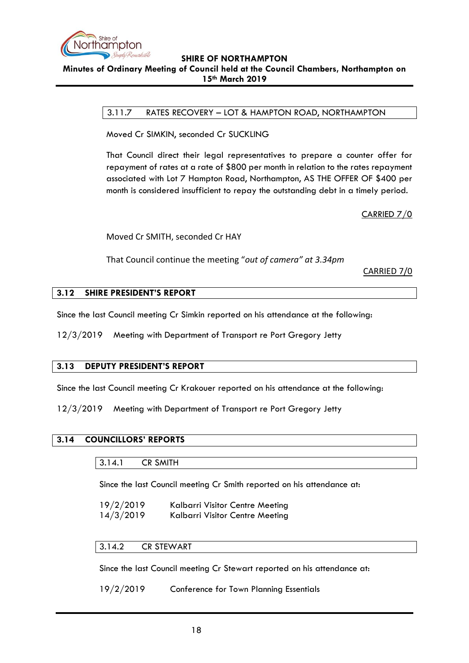

<span id="page-17-0"></span>**Minutes of Ordinary Meeting of Council held at the Council Chambers, Northampton on 15th March 2019**

### 3.11.7 RATES RECOVERY – LOT & HAMPTON ROAD, NORTHAMPTON

Moved Cr SIMKIN, seconded Cr SUCKLING

That Council direct their legal representatives to prepare a counter offer for repayment of rates at a rate of \$800 per month in relation to the rates repayment associated with Lot 7 Hampton Road, Northampton, AS THE OFFER OF \$400 per month is considered insufficient to repay the outstanding debt in a timely period.

CARRIED 7/0

Moved Cr SMITH, seconded Cr HAY

That Council continue the meeting "*out of camera" at 3.34pm*

CARRIED 7/0

### <span id="page-17-1"></span>**3.12 SHIRE PRESIDENT'S REPORT**

Since the last Council meeting Cr Simkin reported on his attendance at the following:

12/3/2019 Meeting with Department of Transport re Port Gregory Jetty

#### <span id="page-17-2"></span>**3.13 DEPUTY PRESIDENT'S REPORT**

Since the last Council meeting Cr Krakouer reported on his attendance at the following:

12/3/2019 Meeting with Department of Transport re Port Gregory Jetty

### <span id="page-17-4"></span><span id="page-17-3"></span>**3.14 COUNCILLORS' REPORTS**

| 3.14.1<br><b>CR SMITH</b> |
|---------------------------|
|---------------------------|

Since the last Council meeting Cr Smith reported on his attendance at:

- 19/2/2019 Kalbarri Visitor Centre Meeting
- 14/3/2019 Kalbarri Visitor Centre Meeting

## <span id="page-17-5"></span>3.14.2 CR STEWART

Since the last Council meeting Cr Stewart reported on his attendance at:

19/2/2019 Conference for Town Planning Essentials